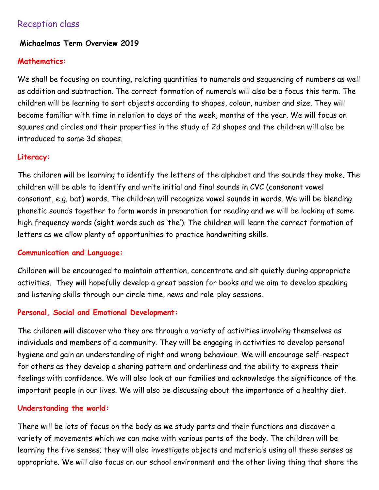# Reception class

# **Michaelmas Term Overview 2019**

## **Mathematics:**

We shall be focusing on counting, relating quantities to numerals and sequencing of numbers as well as addition and subtraction. The correct formation of numerals will also be a focus this term. The children will be learning to sort objects according to shapes, colour, number and size. They will become familiar with time in relation to days of the week, months of the year. We will focus on squares and circles and their properties in the study of 2d shapes and the children will also be introduced to some 3d shapes.

## **Literacy:**

The children will be learning to identify the letters of the alphabet and the sounds they make. The children will be able to identify and write initial and final sounds in CVC (consonant vowel consonant, e.g. bat) words. The children will recognize vowel sounds in words. We will be blending phonetic sounds together to form words in preparation for reading and we will be looking at some high frequency words (sight words such as 'the'). The children will learn the correct formation of letters as we allow plenty of opportunities to practice handwriting skills.

#### **Communication and Language:**

Children will be encouraged to maintain attention, concentrate and sit quietly during appropriate activities. They will hopefully develop a great passion for books and we aim to develop speaking and listening skills through our circle time, news and role-play sessions.

## **Personal, Social and Emotional Development:**

The children will discover who they are through a variety of activities involving themselves as individuals and members of a community. They will be engaging in activities to develop personal hygiene and gain an understanding of right and wrong behaviour. We will encourage self-respect for others as they develop a sharing pattern and orderliness and the ability to express their feelings with confidence. We will also look at our families and acknowledge the significance of the important people in our lives. We will also be discussing about the importance of a healthy diet.

## **Understanding the world:**

There will be lots of focus on the body as we study parts and their functions and discover a variety of movements which we can make with various parts of the body. The children will be learning the five senses; they will also investigate objects and materials using all these senses as appropriate. We will also focus on our school environment and the other living thing that share the